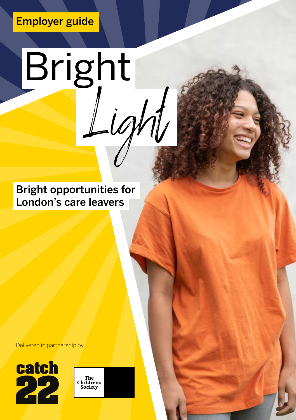### Employer guide

# Bright Light

Bright opportunities for London's care leavers

Delivered in partnership by



The<br>Children's<br>Society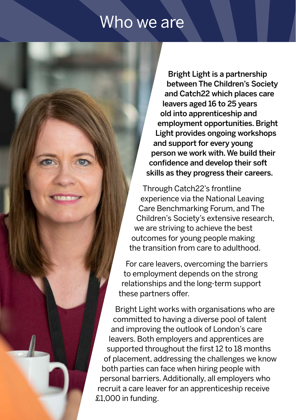## Who we are

Bright Light is a partnership between The Children's Society and Catch22 which places care leavers aged 16 to 25 years old into apprenticeship and employment opportunities. Bright Light provides ongoing workshops and support for every young person we work with. We build their confidence and develop their soft skills as they progress their careers.

Through Catch22's frontline experience via the National Leaving Care Benchmarking Forum, and The Children's Society's extensive research, we are striving to achieve the best outcomes for young people making the transition from care to adulthood.

For care leavers, overcoming the barriers to employment depends on the strong relationships and the long-term support these partners offer.

Bright Light works with organisations who are committed to having a diverse pool of talent and improving the outlook of London's care leavers. Both employers and apprentices are supported throughout the first 12 to 18 months of placement, addressing the challenges we know both parties can face when hiring people with personal barriers. Additionally, all employers who recruit a care leaver for an apprenticeship receive £1,000 in funding.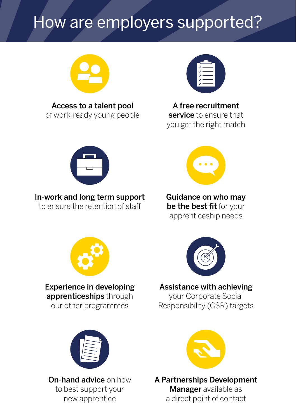## How are employers supported?



Access to a talent pool of work-ready young people



A free recruitment service to ensure that you get the right match



#### In-work and long term support

to ensure the retention of staff



Guidance on who may be the best fit for your apprenticeship needs



Experience in developing apprenticeships through our other programmes



#### Assistance with achieving

your Corporate Social Responsibility (CSR) targets



On-hand advice on how to best support your new apprentice



A Partnerships Development **Manager** available as a direct point of contact